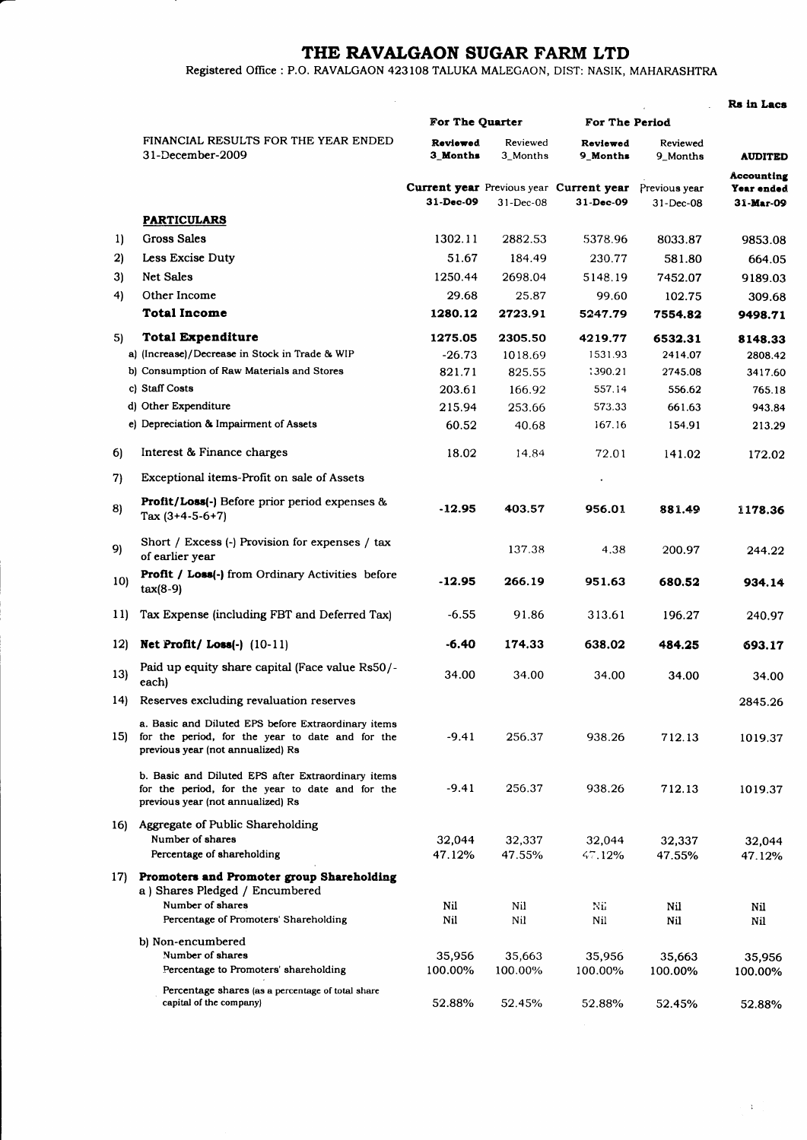## THE RAVALGAON SUGAR FARM LTD

Registered Office : P.O. RAVALGAON 423108 TALUKA MALEGAON, DIST: NASIK, MAHARASHTRA

|                 |                                                                                                                                              |                                   |                                   |                                                                                            |                                                    | Rs in Lacs                                                     |
|-----------------|----------------------------------------------------------------------------------------------------------------------------------------------|-----------------------------------|-----------------------------------|--------------------------------------------------------------------------------------------|----------------------------------------------------|----------------------------------------------------------------|
|                 |                                                                                                                                              | For The Quarter                   |                                   | For The Period                                                                             |                                                    |                                                                |
|                 | FINANCIAL RESULTS FOR THE YEAR ENDED<br>31-December-2009                                                                                     | Reviewed<br>3 Months<br>31-Dec-09 | Reviewed<br>3_Months<br>31-Dec-08 | Reviewed<br>9 Months<br><b>Current year</b> Previous year <b>Current year</b><br>31-Dec-09 | Reviewed<br>9_Months<br>Previous year<br>31-Dec-08 | <b>AUDITED</b><br>Accounting<br>Year ended<br><b>31-Mar-09</b> |
|                 |                                                                                                                                              |                                   |                                   |                                                                                            |                                                    |                                                                |
|                 | <b>PARTICULARS</b>                                                                                                                           |                                   |                                   |                                                                                            |                                                    |                                                                |
| 1)              | <b>Gross Sales</b>                                                                                                                           | 1302.11                           | 2882.53                           | 5378.96                                                                                    | 8033.87                                            | 9853.08                                                        |
| 2)              | Less Excise Duty                                                                                                                             | 51.67                             | 184.49                            | 230.77                                                                                     | 581.80                                             | 664.05                                                         |
| 3)              | <b>Net Sales</b>                                                                                                                             | 1250.44                           | 2698.04                           | 5148.19                                                                                    | 7452.07                                            | 9189.03                                                        |
| 4)              | Other Income                                                                                                                                 | 29.68                             | 25.87                             | 99.60                                                                                      | 102.75                                             | 309.68                                                         |
|                 | <b>Total Income</b>                                                                                                                          | 1280.12                           | 2723.91                           | 5247.79                                                                                    | 7554.82                                            | 9498.71                                                        |
| 5)              | <b>Total Expenditure</b>                                                                                                                     | 1275.05                           | 2305.50                           | 4219.77                                                                                    | 6532.31                                            | 8148.33                                                        |
|                 | a) (Increase)/Decrease in Stock in Trade & WIP                                                                                               | $-26.73$                          | 1018.69                           | 1531.93                                                                                    | 2414.07                                            | 2808.42                                                        |
|                 | b) Consumption of Raw Materials and Stores                                                                                                   | 821.71                            | 825.55                            | 1390.21                                                                                    | 2745.08                                            | 3417.60                                                        |
|                 | c) Staff Costs                                                                                                                               | 203.61                            | 166.92                            | 557.14                                                                                     | 556.62                                             | 765.18                                                         |
|                 | d) Other Expenditure                                                                                                                         | 215.94                            | 253.66                            | 573.33                                                                                     | 661.63                                             | 943.84                                                         |
|                 | e) Depreciation & Impairment of Assets                                                                                                       | 60.52                             | 40.68                             | 167.16                                                                                     | 154.91                                             | 213.29                                                         |
| 6)              | Interest & Finance charges                                                                                                                   | 18.02                             | 14.84                             | 72.01                                                                                      | 141.02                                             | 172.02                                                         |
| 7)              | Exceptional items-Profit on sale of Assets                                                                                                   |                                   |                                   |                                                                                            |                                                    |                                                                |
| 8)              | <b>Profit/Loss(-)</b> Before prior period expenses &<br>Tax $(3+4-5-6+7)$                                                                    | -12.95                            | 403.57                            | 956.01                                                                                     | 881.49                                             | 1178.36                                                        |
| 9)              | Short / Excess (-) Provision for expenses / tax<br>of earlier year                                                                           |                                   | 137.38                            | 4.38                                                                                       | 200.97                                             | 244.22                                                         |
| 10)             | Profit / Loss(-) from Ordinary Activities before<br>$tax(8-9)$                                                                               | $-12.95$                          | 266.19                            | 951.63                                                                                     | 680.52                                             | 934.14                                                         |
| 11)             | Tax Expense (including FBT and Deferred Tax)                                                                                                 | $-6.55$                           | 91.86                             | 313.61                                                                                     | 196.27                                             | 240.97                                                         |
| 12 <sub>l</sub> | Net Profit/Loss $(-)$ $(10-11)$                                                                                                              | -6.40                             | 174.33                            | 638.02                                                                                     | 484.25                                             | 693.17                                                         |
| 13)             | Paid up equity share capital (Face value Rs50/-<br>each)                                                                                     | 34.00                             | 34.00                             | 34.00                                                                                      | 34.00                                              | 34.00                                                          |
|                 | 14) Reserves excluding revaluation reserves                                                                                                  |                                   |                                   |                                                                                            |                                                    | 2845.26                                                        |
| 15)             | a. Basic and Diluted EPS before Extraordinary items<br>for the period, for the year to date and for the<br>previous year (not annualized) Rs | $-9.41$                           | 256.37                            | 938.26                                                                                     | 712.13                                             | 1019.37                                                        |
|                 | b. Basic and Diluted EPS after Extraordinary items<br>for the period, for the year to date and for the<br>previous year (not annualized) Rs  | $-9.41$                           | 256.37                            | 938.26                                                                                     | 712.13                                             | 1019.37                                                        |
| 16)             | Aggregate of Public Shareholding<br>Number of shares<br>Percentage of shareholding                                                           | 32,044<br>47.12%                  | 32,337<br>47.55%                  | 32,044<br>47.12%                                                                           | 32,337<br>47.55%                                   | 32,044<br>47.12%                                               |
| 17)             | Promoters and Promoter group Shareholding<br>a) Shares Pledged / Encumbered<br>Number of shares<br>Percentage of Promoters' Shareholding     | Nil<br>Nil                        | Nil<br>Nil                        | Nü<br>Nil                                                                                  | Nil<br>Nil                                         | Nil<br>Nil                                                     |
|                 | b) Non-encumbered<br>Number of shares<br>Percentage to Promoters' shareholding                                                               | 35,956<br>100.00%                 | 35,663<br>100.00%                 | 35,956<br>100.00%                                                                          | 35,663<br>100.00%                                  | 35,956<br>100.00%                                              |
|                 | Percentage shares (as a percentage of total share<br>capital of the company)                                                                 | 52.88%                            | 52.45%                            | 52.88%                                                                                     | 52.45%                                             | 52.88%                                                         |

 $\bar{V}$